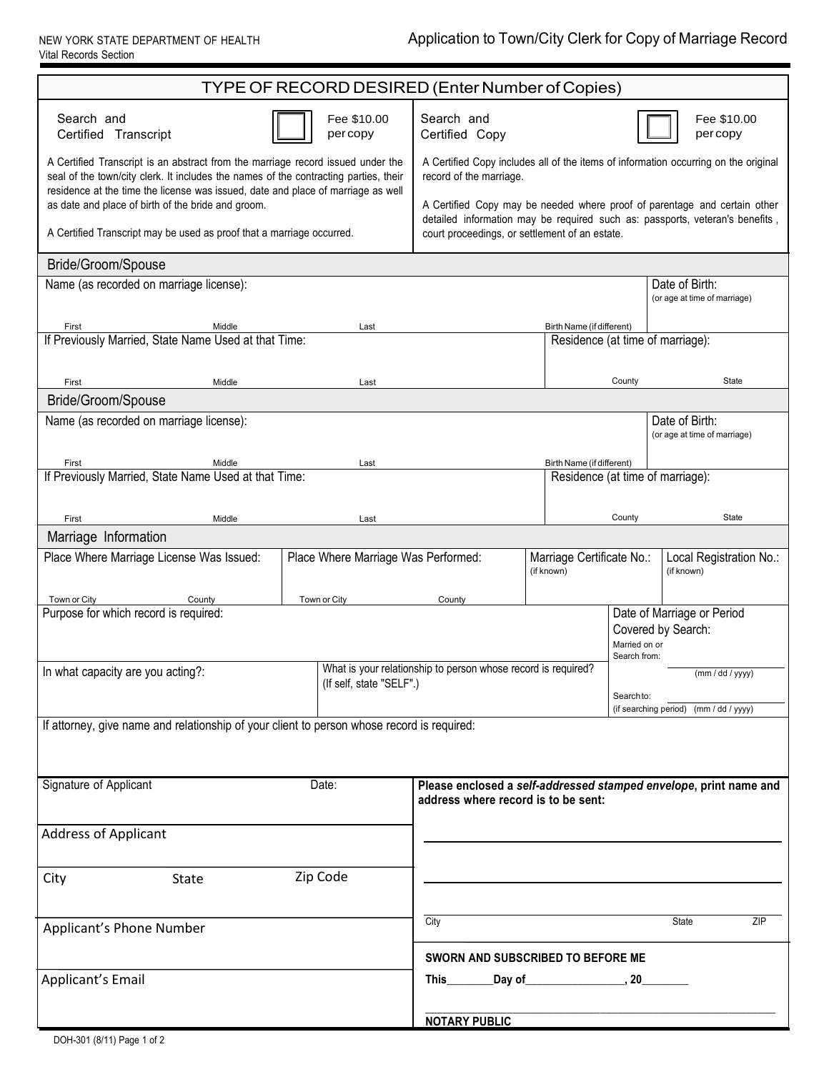NEW YORK STATE DEPARTMENT OF HEALTH Vital Records Section

| TYPE OF RECORD DESIRED (Enter Number of Copies)                                                                                                                                                                                                             |                                                                                                                                                                                                             |                           |                                                                   |                                  |              |                                                  |              |
|-------------------------------------------------------------------------------------------------------------------------------------------------------------------------------------------------------------------------------------------------------------|-------------------------------------------------------------------------------------------------------------------------------------------------------------------------------------------------------------|---------------------------|-------------------------------------------------------------------|----------------------------------|--------------|--------------------------------------------------|--------------|
| Search and<br>Certified Transcript                                                                                                                                                                                                                          |                                                                                                                                                                                                             | Fee \$10.00<br>percopy    | Search and<br>Certified Copy                                      |                                  |              | Fee \$10.00<br>percopy                           |              |
| A Certified Transcript is an abstract from the marriage record issued under the<br>seal of the town/city clerk. It includes the names of the contracting parties, their<br>residence at the time the license was issued, date and place of marriage as well | A Certified Copy includes all of the items of information occurring on the original<br>record of the marriage.                                                                                              |                           |                                                                   |                                  |              |                                                  |              |
| as date and place of birth of the bride and groom.<br>A Certified Transcript may be used as proof that a marriage occurred.                                                                                                                                 | A Certified Copy may be needed where proof of parentage and certain other<br>detailed information may be required such as: passports, veteran's benefits,<br>court proceedings, or settlement of an estate. |                           |                                                                   |                                  |              |                                                  |              |
| Bride/Groom/Spouse                                                                                                                                                                                                                                          |                                                                                                                                                                                                             |                           |                                                                   |                                  |              |                                                  |              |
| Name (as recorded on marriage license):                                                                                                                                                                                                                     |                                                                                                                                                                                                             |                           |                                                                   | Date of Birth:                   |              |                                                  |              |
|                                                                                                                                                                                                                                                             |                                                                                                                                                                                                             |                           |                                                                   |                                  |              | (or age at time of marriage)                     |              |
| First<br>If Previously Married, State Name Used at that Time:                                                                                                                                                                                               | Birth Name (if different)<br>Residence (at time of marriage):                                                                                                                                               |                           |                                                                   |                                  |              |                                                  |              |
|                                                                                                                                                                                                                                                             |                                                                                                                                                                                                             |                           |                                                                   |                                  | County       |                                                  | <b>State</b> |
| First<br>Bride/Groom/Spouse                                                                                                                                                                                                                                 | Middle                                                                                                                                                                                                      | Last                      |                                                                   |                                  |              |                                                  |              |
| Name (as recorded on marriage license):                                                                                                                                                                                                                     |                                                                                                                                                                                                             |                           |                                                                   |                                  |              | Date of Birth:                                   |              |
|                                                                                                                                                                                                                                                             |                                                                                                                                                                                                             |                           |                                                                   |                                  |              | (or age at time of marriage)                     |              |
| First                                                                                                                                                                                                                                                       | Middle                                                                                                                                                                                                      | Last                      |                                                                   | Birth Name (if different)        |              |                                                  |              |
| If Previously Married, State Name Used at that Time:                                                                                                                                                                                                        | Residence (at time of marriage):                                                                                                                                                                            |                           |                                                                   |                                  |              |                                                  |              |
|                                                                                                                                                                                                                                                             |                                                                                                                                                                                                             |                           |                                                                   |                                  |              |                                                  |              |
| First<br>Marriage Information                                                                                                                                                                                                                               | Middle                                                                                                                                                                                                      | Last                      |                                                                   |                                  | County       |                                                  | State        |
| Place Where Marriage License Was Issued:                                                                                                                                                                                                                    | Place Where Marriage Was Performed:                                                                                                                                                                         | Marriage Certificate No.: |                                                                   | Local Registration No.:          |              |                                                  |              |
|                                                                                                                                                                                                                                                             |                                                                                                                                                                                                             |                           |                                                                   | (if known)                       |              | (if known)                                       |              |
| Town or City<br>County                                                                                                                                                                                                                                      |                                                                                                                                                                                                             | Town or City              | County                                                            |                                  |              |                                                  |              |
| Purpose for which record is required:                                                                                                                                                                                                                       |                                                                                                                                                                                                             |                           |                                                                   |                                  |              | Date of Marriage or Period<br>Covered by Search: |              |
|                                                                                                                                                                                                                                                             |                                                                                                                                                                                                             |                           | Married on or                                                     |                                  |              |                                                  |              |
| In what capacity are you acting?:                                                                                                                                                                                                                           |                                                                                                                                                                                                             |                           | What is your relationship to person whose record is required?     |                                  | Search from: | (mm / dd / yyyy)                                 |              |
|                                                                                                                                                                                                                                                             |                                                                                                                                                                                                             | (If self, state "SELF".)  |                                                                   |                                  | Search to:   |                                                  |              |
|                                                                                                                                                                                                                                                             |                                                                                                                                                                                                             |                           | (if searching period) (mm / dd / yyyy)                            |                                  |              |                                                  |              |
| If attorney, give name and relationship of your client to person whose record is required:                                                                                                                                                                  |                                                                                                                                                                                                             |                           |                                                                   |                                  |              |                                                  |              |
|                                                                                                                                                                                                                                                             |                                                                                                                                                                                                             |                           |                                                                   |                                  |              |                                                  |              |
| Signature of Applicant                                                                                                                                                                                                                                      |                                                                                                                                                                                                             | Date:                     | Please enclosed a self-addressed stamped envelope, print name and |                                  |              |                                                  |              |
|                                                                                                                                                                                                                                                             |                                                                                                                                                                                                             |                           | address where record is to be sent:                               |                                  |              |                                                  |              |
| <b>Address of Applicant</b>                                                                                                                                                                                                                                 |                                                                                                                                                                                                             |                           |                                                                   |                                  |              |                                                  |              |
|                                                                                                                                                                                                                                                             |                                                                                                                                                                                                             |                           |                                                                   |                                  |              |                                                  |              |
| City<br><b>State</b>                                                                                                                                                                                                                                        |                                                                                                                                                                                                             | Zip Code                  |                                                                   |                                  |              |                                                  |              |
|                                                                                                                                                                                                                                                             |                                                                                                                                                                                                             |                           |                                                                   |                                  |              |                                                  |              |
| Applicant's Phone Number                                                                                                                                                                                                                                    |                                                                                                                                                                                                             |                           | City                                                              |                                  |              | State                                            | ZIP          |
| SWORN AND SUBSCRIBED TO BEFORE ME                                                                                                                                                                                                                           |                                                                                                                                                                                                             |                           |                                                                   |                                  |              |                                                  |              |
|                                                                                                                                                                                                                                                             |                                                                                                                                                                                                             |                           |                                                                   |                                  |              |                                                  |              |
| Applicant's Email                                                                                                                                                                                                                                           |                                                                                                                                                                                                             |                           |                                                                   | _Day of____________________, 20_ |              |                                                  |              |
|                                                                                                                                                                                                                                                             |                                                                                                                                                                                                             |                           | <b>NOTARY PUBLIC</b>                                              |                                  |              |                                                  |              |